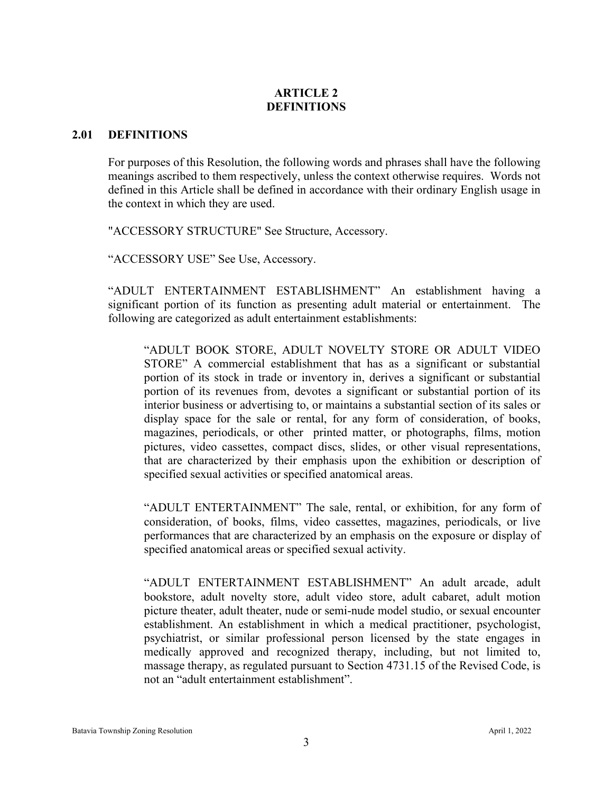## **ARTICLE 2 DEFINITIONS**

## **2.01 DEFINITIONS**

For purposes of this Resolution, the following words and phrases shall have the following meanings ascribed to them respectively, unless the context otherwise requires. Words not defined in this Article shall be defined in accordance with their ordinary English usage in the context in which they are used.

"ACCESSORY STRUCTURE" See Structure, Accessory.

"ACCESSORY USE" See Use, Accessory.

"ADULT ENTERTAINMENT ESTABLISHMENT" An establishment having a significant portion of its function as presenting adult material or entertainment. The following are categorized as adult entertainment establishments:

"ADULT BOOK STORE, ADULT NOVELTY STORE OR ADULT VIDEO STORE" A commercial establishment that has as a significant or substantial portion of its stock in trade or inventory in, derives a significant or substantial portion of its revenues from, devotes a significant or substantial portion of its interior business or advertising to, or maintains a substantial section of its sales or display space for the sale or rental, for any form of consideration, of books, magazines, periodicals, or other printed matter, or photographs, films, motion pictures, video cassettes, compact discs, slides, or other visual representations, that are characterized by their emphasis upon the exhibition or description of specified sexual activities or specified anatomical areas.

"ADULT ENTERTAINMENT" The sale, rental, or exhibition, for any form of consideration, of books, films, video cassettes, magazines, periodicals, or live performances that are characterized by an emphasis on the exposure or display of specified anatomical areas or specified sexual activity.

"ADULT ENTERTAINMENT ESTABLISHMENT" An adult arcade, adult bookstore, adult novelty store, adult video store, adult cabaret, adult motion picture theater, adult theater, nude or semi-nude model studio, or sexual encounter establishment. An establishment in which a medical practitioner, psychologist, psychiatrist, or similar professional person licensed by the state engages in medically approved and recognized therapy, including, but not limited to, massage therapy, as regulated pursuant to Section [4731.15](http://codes.ohio.gov/orc/4731.15) of the Revised Code, is not an "adult entertainment establishment".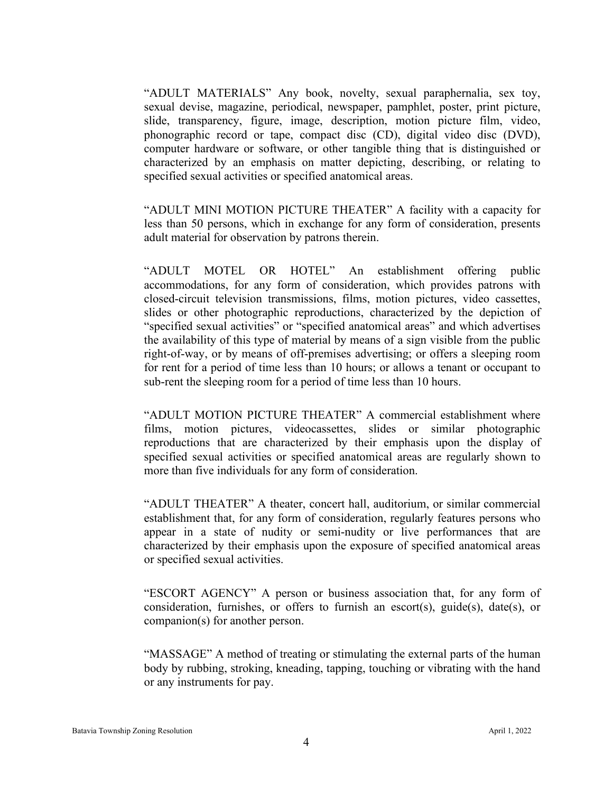"ADULT MATERIALS" Any book, novelty, sexual paraphernalia, sex toy, sexual devise, magazine, periodical, newspaper, pamphlet, poster, print picture, slide, transparency, figure, image, description, motion picture film, video, phonographic record or tape, compact disc (CD), digital video disc (DVD), computer hardware or software, or other tangible thing that is distinguished or characterized by an emphasis on matter depicting, describing, or relating to specified sexual activities or specified anatomical areas.

"ADULT MINI MOTION PICTURE THEATER" A facility with a capacity for less than 50 persons, which in exchange for any form of consideration, presents adult material for observation by patrons therein.

"ADULT MOTEL OR HOTEL" An establishment offering public accommodations, for any form of consideration, which provides patrons with closed-circuit television transmissions, films, motion pictures, video cassettes, slides or other photographic reproductions, characterized by the depiction of "specified sexual activities" or "specified anatomical areas" and which advertises the availability of this type of material by means of a sign visible from the public right-of-way, or by means of off-premises advertising; or offers a sleeping room for rent for a period of time less than 10 hours; or allows a tenant or occupant to sub-rent the sleeping room for a period of time less than 10 hours.

"ADULT MOTION PICTURE THEATER" A commercial establishment where films, motion pictures, videocassettes, slides or similar photographic reproductions that are characterized by their emphasis upon the display of specified sexual activities or specified anatomical areas are regularly shown to more than five individuals for any form of consideration.

"ADULT THEATER" A theater, concert hall, auditorium, or similar commercial establishment that, for any form of consideration, regularly features persons who appear in a state of nudity or semi-nudity or live performances that are characterized by their emphasis upon the exposure of specified anatomical areas or specified sexual activities.

"ESCORT AGENCY" A person or business association that, for any form of consideration, furnishes, or offers to furnish an escort(s), guide(s), date(s), or companion(s) for another person.

"MASSAGE" A method of treating or stimulating the external parts of the human body by rubbing, stroking, kneading, tapping, touching or vibrating with the hand or any instruments for pay.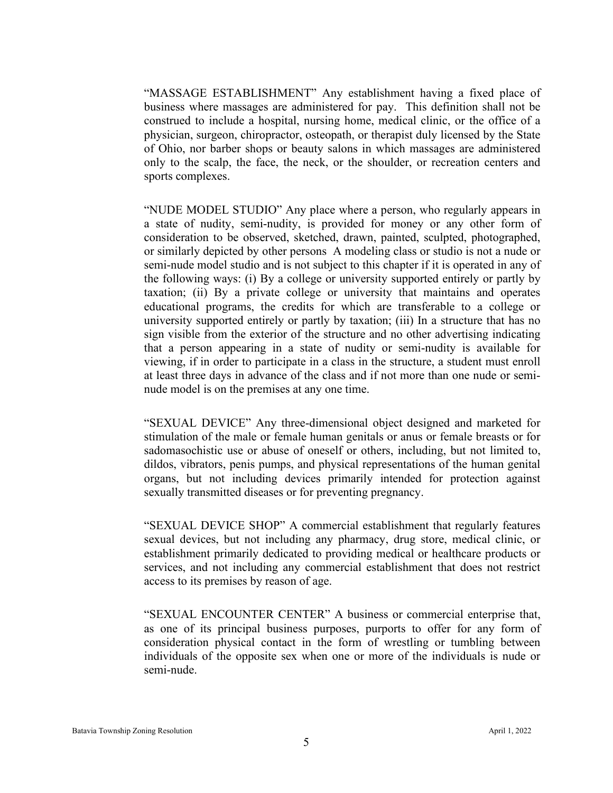"MASSAGE ESTABLISHMENT" Any establishment having a fixed place of business where massages are administered for pay. This definition shall not be construed to include a hospital, nursing home, medical clinic, or the office of a physician, surgeon, chiropractor, osteopath, or therapist duly licensed by the State of Ohio, nor barber shops or beauty salons in which massages are administered only to the scalp, the face, the neck, or the shoulder, or recreation centers and sports complexes.

"NUDE MODEL STUDIO" Any place where a person, who regularly appears in a state of nudity, semi-nudity, is provided for money or any other form of consideration to be observed, sketched, drawn, painted, sculpted, photographed, or similarly depicted by other persons A modeling class or studio is not a nude or semi-nude model studio and is not subject to this chapter if it is operated in any of the following ways: (i) By a college or university supported entirely or partly by taxation; (ii) By a private college or university that maintains and operates educational programs, the credits for which are transferable to a college or university supported entirely or partly by taxation; (iii) In a structure that has no sign visible from the exterior of the structure and no other advertising indicating that a person appearing in a state of nudity or semi-nudity is available for viewing, if in order to participate in a class in the structure, a student must enroll at least three days in advance of the class and if not more than one nude or seminude model is on the premises at any one time.

"SEXUAL DEVICE" Any three-dimensional object designed and marketed for stimulation of the male or female human genitals or anus or female breasts or for sadomasochistic use or abuse of oneself or others, including, but not limited to, dildos, vibrators, penis pumps, and physical representations of the human genital organs, but not including devices primarily intended for protection against sexually transmitted diseases or for preventing pregnancy.

"SEXUAL DEVICE SHOP" A commercial establishment that regularly features sexual devices, but not including any pharmacy, drug store, medical clinic, or establishment primarily dedicated to providing medical or healthcare products or services, and not including any commercial establishment that does not restrict access to its premises by reason of age.

"SEXUAL ENCOUNTER CENTER" A business or commercial enterprise that, as one of its principal business purposes, purports to offer for any form of consideration physical contact in the form of wrestling or tumbling between individuals of the opposite sex when one or more of the individuals is nude or semi-nude.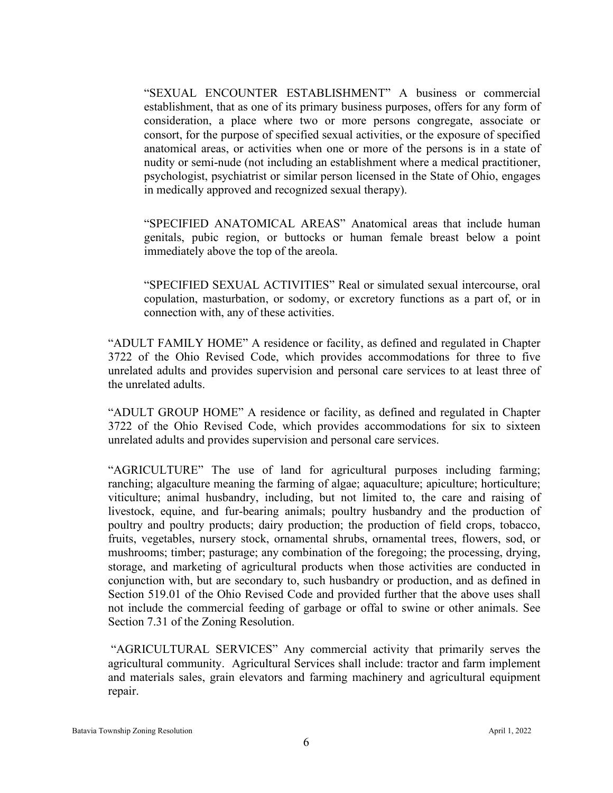"SEXUAL ENCOUNTER ESTABLISHMENT" A business or commercial establishment, that as one of its primary business purposes, offers for any form of consideration, a place where two or more persons congregate, associate or consort, for the purpose of specified sexual activities, or the exposure of specified anatomical areas, or activities when one or more of the persons is in a state of nudity or semi-nude (not including an establishment where a medical practitioner, psychologist, psychiatrist or similar person licensed in the State of Ohio, engages in medically approved and recognized sexual therapy).

"SPECIFIED ANATOMICAL AREAS" Anatomical areas that include human genitals, pubic region, or buttocks or human female breast below a point immediately above the top of the areola.

"SPECIFIED SEXUAL ACTIVITIES" Real or simulated sexual intercourse, oral copulation, masturbation, or sodomy, or excretory functions as a part of, or in connection with, any of these activities.

"ADULT FAMILY HOME" A residence or facility, as defined and regulated in Chapter 3722 of the Ohio Revised Code, which provides accommodations for three to five unrelated adults and provides supervision and personal care services to at least three of the unrelated adults.

"ADULT GROUP HOME" A residence or facility, as defined and regulated in Chapter 3722 of the Ohio Revised Code, which provides accommodations for six to sixteen unrelated adults and provides supervision and personal care services.

"AGRICULTURE" The use of land for agricultural purposes including farming; ranching; algaculture meaning the farming of algae; aquaculture; apiculture; horticulture; viticulture; animal husbandry, including, but not limited to, the care and raising of livestock, equine, and fur-bearing animals; poultry husbandry and the production of poultry and poultry products; dairy production; the production of field crops, tobacco, fruits, vegetables, nursery stock, ornamental shrubs, ornamental trees, flowers, sod, or mushrooms; timber; pasturage; any combination of the foregoing; the processing, drying, storage, and marketing of agricultural products when those activities are conducted in conjunction with, but are secondary to, such husbandry or production, and as defined in Section 519.01 of the Ohio Revised Code and provided further that the above uses shall not include the commercial feeding of garbage or offal to swine or other animals. See Section 7.31 of the Zoning Resolution.

"AGRICULTURAL SERVICES" Any commercial activity that primarily serves the agricultural community. Agricultural Services shall include: tractor and farm implement and materials sales, grain elevators and farming machinery and agricultural equipment repair.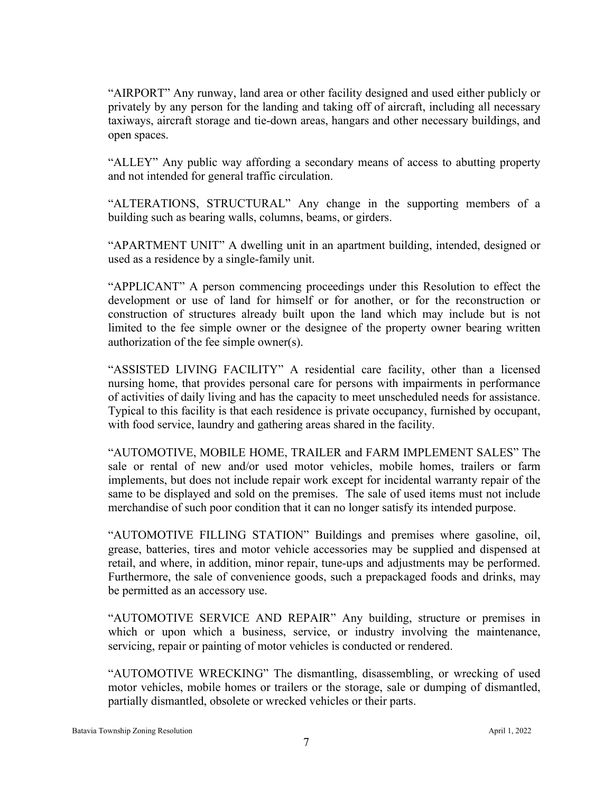"AIRPORT" Any runway, land area or other facility designed and used either publicly or privately by any person for the landing and taking off of aircraft, including all necessary taxiways, aircraft storage and tie-down areas, hangars and other necessary buildings, and open spaces.

"ALLEY" Any public way affording a secondary means of access to abutting property and not intended for general traffic circulation.

"ALTERATIONS, STRUCTURAL" Any change in the supporting members of a building such as bearing walls, columns, beams, or girders.

"APARTMENT UNIT" A dwelling unit in an apartment building, intended, designed or used as a residence by a single-family unit.

"APPLICANT" A person commencing proceedings under this Resolution to effect the development or use of land for himself or for another, or for the reconstruction or construction of structures already built upon the land which may include but is not limited to the fee simple owner or the designee of the property owner bearing written authorization of the fee simple owner(s).

"ASSISTED LIVING FACILITY" A residential care facility, other than a licensed nursing home, that provides personal care for persons with impairments in performance of activities of daily living and has the capacity to meet unscheduled needs for assistance. Typical to this facility is that each residence is private occupancy, furnished by occupant, with food service, laundry and gathering areas shared in the facility.

"AUTOMOTIVE, MOBILE HOME, TRAILER and FARM IMPLEMENT SALES" The sale or rental of new and/or used motor vehicles, mobile homes, trailers or farm implements, but does not include repair work except for incidental warranty repair of the same to be displayed and sold on the premises. The sale of used items must not include merchandise of such poor condition that it can no longer satisfy its intended purpose.

"AUTOMOTIVE FILLING STATION" Buildings and premises where gasoline, oil, grease, batteries, tires and motor vehicle accessories may be supplied and dispensed at retail, and where, in addition, minor repair, tune-ups and adjustments may be performed. Furthermore, the sale of convenience goods, such a prepackaged foods and drinks, may be permitted as an accessory use.

"AUTOMOTIVE SERVICE AND REPAIR" Any building, structure or premises in which or upon which a business, service, or industry involving the maintenance, servicing, repair or painting of motor vehicles is conducted or rendered.

"AUTOMOTIVE WRECKING" The dismantling, disassembling, or wrecking of used motor vehicles, mobile homes or trailers or the storage, sale or dumping of dismantled, partially dismantled, obsolete or wrecked vehicles or their parts.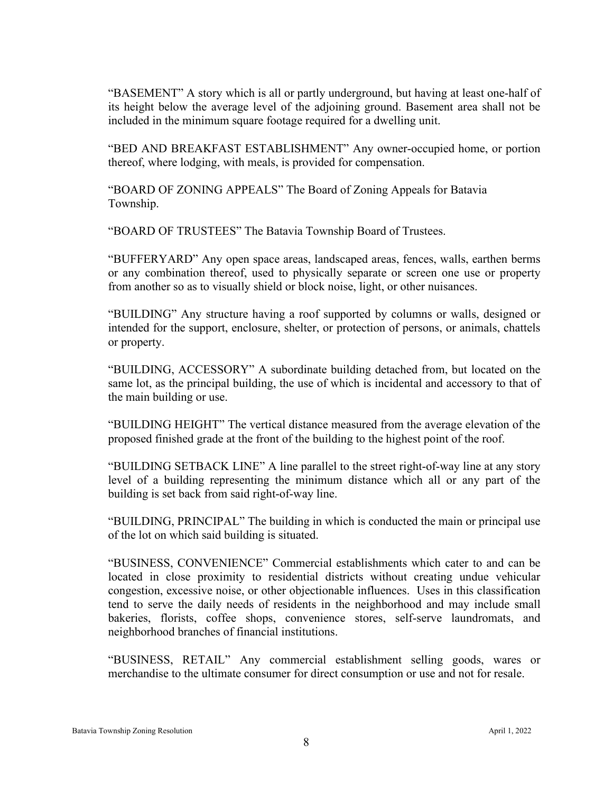"BASEMENT" A story which is all or partly underground, but having at least one-half of its height below the average level of the adjoining ground. Basement area shall not be included in the minimum square footage required for a dwelling unit.

"BED AND BREAKFAST ESTABLISHMENT" Any owner-occupied home, or portion thereof, where lodging, with meals, is provided for compensation.

"BOARD OF ZONING APPEALS" The Board of Zoning Appeals for Batavia Township.

"BOARD OF TRUSTEES" The Batavia Township Board of Trustees.

"BUFFERYARD" Any open space areas, landscaped areas, fences, walls, earthen berms or any combination thereof, used to physically separate or screen one use or property from another so as to visually shield or block noise, light, or other nuisances.

"BUILDING" Any structure having a roof supported by columns or walls, designed or intended for the support, enclosure, shelter, or protection of persons, or animals, chattels or property.

"BUILDING, ACCESSORY" A subordinate building detached from, but located on the same lot, as the principal building, the use of which is incidental and accessory to that of the main building or use.

"BUILDING HEIGHT" The vertical distance measured from the average elevation of the proposed finished grade at the front of the building to the highest point of the roof.

"BUILDING SETBACK LINE" A line parallel to the street right-of-way line at any story level of a building representing the minimum distance which all or any part of the building is set back from said right-of-way line.

"BUILDING, PRINCIPAL" The building in which is conducted the main or principal use of the lot on which said building is situated.

"BUSINESS, CONVENIENCE" Commercial establishments which cater to and can be located in close proximity to residential districts without creating undue vehicular congestion, excessive noise, or other objectionable influences. Uses in this classification tend to serve the daily needs of residents in the neighborhood and may include small bakeries, florists, coffee shops, convenience stores, self-serve laundromats, and neighborhood branches of financial institutions.

"BUSINESS, RETAIL" Any commercial establishment selling goods, wares or merchandise to the ultimate consumer for direct consumption or use and not for resale.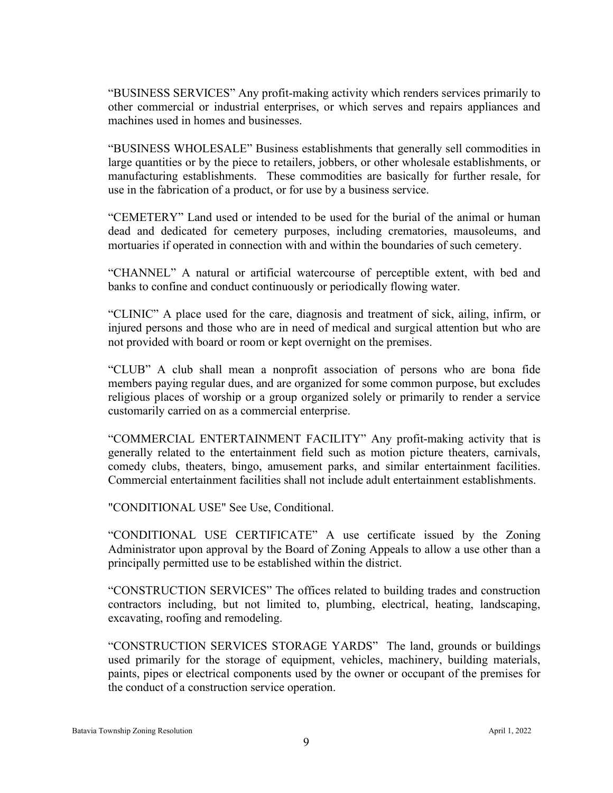"BUSINESS SERVICES" Any profit-making activity which renders services primarily to other commercial or industrial enterprises, or which serves and repairs appliances and machines used in homes and businesses.

"BUSINESS WHOLESALE" Business establishments that generally sell commodities in large quantities or by the piece to retailers, jobbers, or other wholesale establishments, or manufacturing establishments. These commodities are basically for further resale, for use in the fabrication of a product, or for use by a business service.

"CEMETERY" Land used or intended to be used for the burial of the animal or human dead and dedicated for cemetery purposes, including crematories, mausoleums, and mortuaries if operated in connection with and within the boundaries of such cemetery.

"CHANNEL" A natural or artificial watercourse of perceptible extent, with bed and banks to confine and conduct continuously or periodically flowing water.

"CLINIC" A place used for the care, diagnosis and treatment of sick, ailing, infirm, or injured persons and those who are in need of medical and surgical attention but who are not provided with board or room or kept overnight on the premises.

"CLUB" A club shall mean a nonprofit association of persons who are bona fide members paying regular dues, and are organized for some common purpose, but excludes religious places of worship or a group organized solely or primarily to render a service customarily carried on as a commercial enterprise.

"COMMERCIAL ENTERTAINMENT FACILITY" Any profit-making activity that is generally related to the entertainment field such as motion picture theaters, carnivals, comedy clubs, theaters, bingo, amusement parks, and similar entertainment facilities. Commercial entertainment facilities shall not include adult entertainment establishments.

"CONDITIONAL USE" See Use, Conditional.

"CONDITIONAL USE CERTIFICATE" A use certificate issued by the Zoning Administrator upon approval by the Board of Zoning Appeals to allow a use other than a principally permitted use to be established within the district.

"CONSTRUCTION SERVICES" The offices related to building trades and construction contractors including, but not limited to, plumbing, electrical, heating, landscaping, excavating, roofing and remodeling.

"CONSTRUCTION SERVICES STORAGE YARDS" The land, grounds or buildings used primarily for the storage of equipment, vehicles, machinery, building materials, paints, pipes or electrical components used by the owner or occupant of the premises for the conduct of a construction service operation.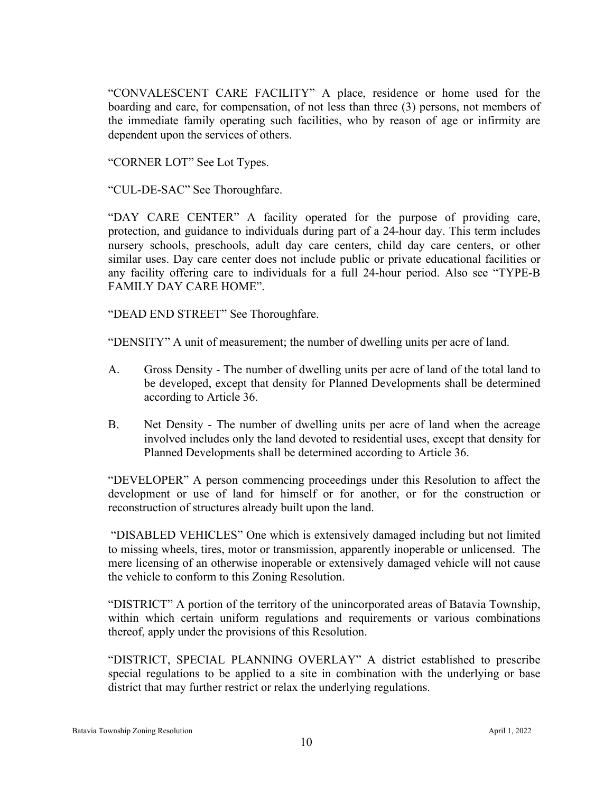"CONVALESCENT CARE FACILITY" A place, residence or home used for the boarding and care, for compensation, of not less than three (3) persons, not members of the immediate family operating such facilities, who by reason of age or infirmity are dependent upon the services of others.

"CORNER LOT" See Lot Types.

"CUL-DE-SAC" See Thoroughfare.

"DAY CARE CENTER" A facility operated for the purpose of providing care, protection, and guidance to individuals during part of a 24-hour day. This term includes nursery schools, preschools, adult day care centers, child day care centers, or other similar uses. Day care center does not include public or private educational facilities or any facility offering care to individuals for a full 24-hour period. Also see "TYPE-B FAMILY DAY CARE HOME".

"DEAD END STREET" See Thoroughfare.

"DENSITY" A unit of measurement; the number of dwelling units per acre of land.

- A. Gross Density The number of dwelling units per acre of land of the total land to be developed, except that density for Planned Developments shall be determined according to Article 36.
- B. Net Density The number of dwelling units per acre of land when the acreage involved includes only the land devoted to residential uses, except that density for Planned Developments shall be determined according to Article 36.

"DEVELOPER" A person commencing proceedings under this Resolution to affect the development or use of land for himself or for another, or for the construction or reconstruction of structures already built upon the land.

"DISABLED VEHICLES" One which is extensively damaged including but not limited to missing wheels, tires, motor or transmission, apparently inoperable or unlicensed. The mere licensing of an otherwise inoperable or extensively damaged vehicle will not cause the vehicle to conform to this Zoning Resolution.

"DISTRICT" A portion of the territory of the unincorporated areas of Batavia Township, within which certain uniform regulations and requirements or various combinations thereof, apply under the provisions of this Resolution.

"DISTRICT, SPECIAL PLANNING OVERLAY" A district established to prescribe special regulations to be applied to a site in combination with the underlying or base district that may further restrict or relax the underlying regulations.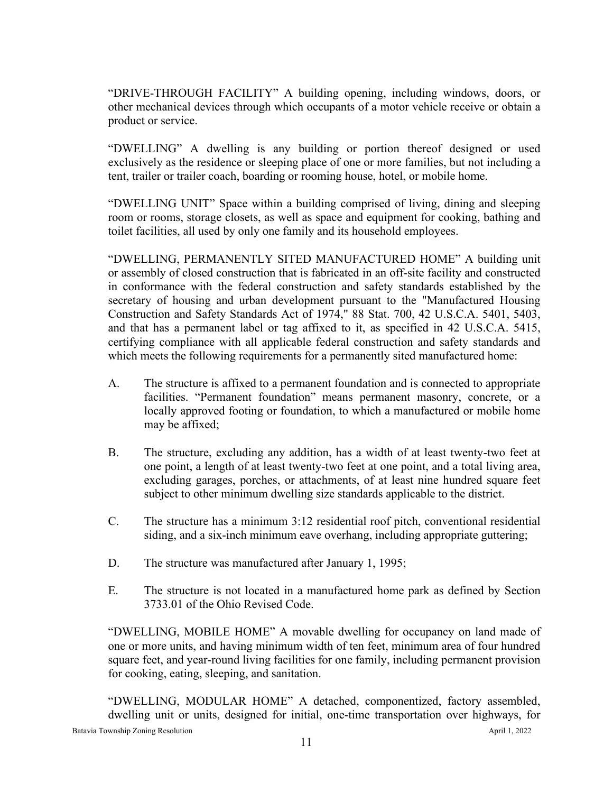"DRIVE-THROUGH FACILITY" A building opening, including windows, doors, or other mechanical devices through which occupants of a motor vehicle receive or obtain a product or service.

"DWELLING" A dwelling is any building or portion thereof designed or used exclusively as the residence or sleeping place of one or more families, but not including a tent, trailer or trailer coach, boarding or rooming house, hotel, or mobile home.

"DWELLING UNIT" Space within a building comprised of living, dining and sleeping room or rooms, storage closets, as well as space and equipment for cooking, bathing and toilet facilities, all used by only one family and its household employees.

"DWELLING, PERMANENTLY SITED MANUFACTURED HOME" A building unit or assembly of closed construction that is fabricated in an off-site facility and constructed in conformance with the federal construction and safety standards established by the secretary of housing and urban development pursuant to the "Manufactured Housing Construction and Safety Standards Act of 1974," 88 Stat. 700, 42 U.S.C.A. 5401, 5403, and that has a permanent label or tag affixed to it, as specified in 42 U.S.C.A. 5415, certifying compliance with all applicable federal construction and safety standards and which meets the following requirements for a permanently sited manufactured home:

- A. The structure is affixed to a permanent foundation and is connected to appropriate facilities. "Permanent foundation" means permanent masonry, concrete, or a locally approved footing or foundation, to which a manufactured or mobile home may be affixed;
- B. The structure, excluding any addition, has a width of at least twenty-two feet at one point, a length of at least twenty-two feet at one point, and a total living area, excluding garages, porches, or attachments, of at least nine hundred square feet subject to other minimum dwelling size standards applicable to the district.
- C. The structure has a minimum 3:12 residential roof pitch, conventional residential siding, and a six-inch minimum eave overhang, including appropriate guttering;
- D. The structure was manufactured after January 1, 1995;
- E. The structure is not located in a manufactured home park as defined by Section 3733.01 of the Ohio Revised Code.

"DWELLING, MOBILE HOME" A movable dwelling for occupancy on land made of one or more units, and having minimum width of ten feet, minimum area of four hundred square feet, and year-round living facilities for one family, including permanent provision for cooking, eating, sleeping, and sanitation.

Batavia Township Zoning Resolution April 1, 2022 "DWELLING, MODULAR HOME" A detached, componentized, factory assembled, dwelling unit or units, designed for initial, one-time transportation over highways, for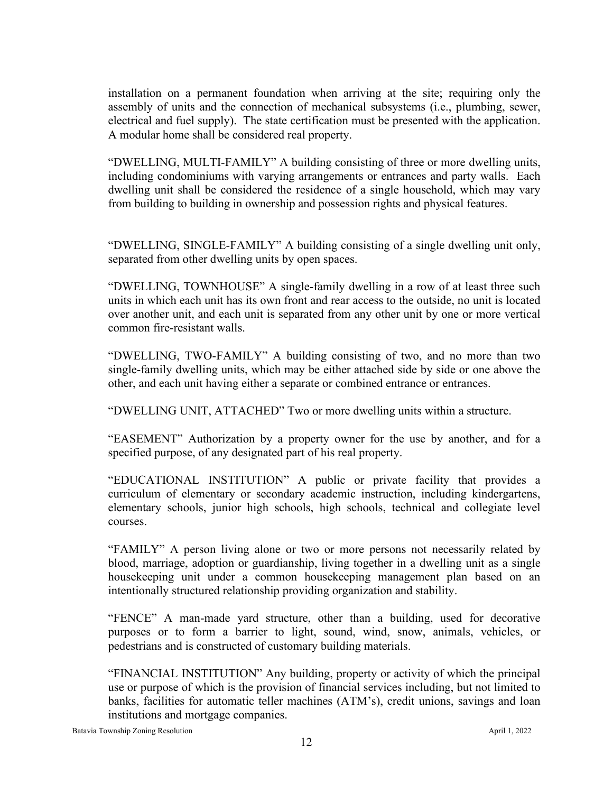installation on a permanent foundation when arriving at the site; requiring only the assembly of units and the connection of mechanical subsystems (i.e., plumbing, sewer, electrical and fuel supply). The state certification must be presented with the application. A modular home shall be considered real property.

"DWELLING, MULTI-FAMILY" A building consisting of three or more dwelling units, including condominiums with varying arrangements or entrances and party walls. Each dwelling unit shall be considered the residence of a single household, which may vary from building to building in ownership and possession rights and physical features.

"DWELLING, SINGLE-FAMILY" A building consisting of a single dwelling unit only, separated from other dwelling units by open spaces.

"DWELLING, TOWNHOUSE" A single-family dwelling in a row of at least three such units in which each unit has its own front and rear access to the outside, no unit is located over another unit, and each unit is separated from any other unit by one or more vertical common fire-resistant walls.

"DWELLING, TWO-FAMILY" A building consisting of two, and no more than two single-family dwelling units, which may be either attached side by side or one above the other, and each unit having either a separate or combined entrance or entrances.

"DWELLING UNIT, ATTACHED" Two or more dwelling units within a structure.

"EASEMENT" Authorization by a property owner for the use by another, and for a specified purpose, of any designated part of his real property.

"EDUCATIONAL INSTITUTION" A public or private facility that provides a curriculum of elementary or secondary academic instruction, including kindergartens, elementary schools, junior high schools, high schools, technical and collegiate level courses.

"FAMILY" A person living alone or two or more persons not necessarily related by blood, marriage, adoption or guardianship, living together in a dwelling unit as a single housekeeping unit under a common housekeeping management plan based on an intentionally structured relationship providing organization and stability.

"FENCE" A man-made yard structure, other than a building, used for decorative purposes or to form a barrier to light, sound, wind, snow, animals, vehicles, or pedestrians and is constructed of customary building materials.

"FINANCIAL INSTITUTION" Any building, property or activity of which the principal use or purpose of which is the provision of financial services including, but not limited to banks, facilities for automatic teller machines (ATM's), credit unions, savings and loan institutions and mortgage companies.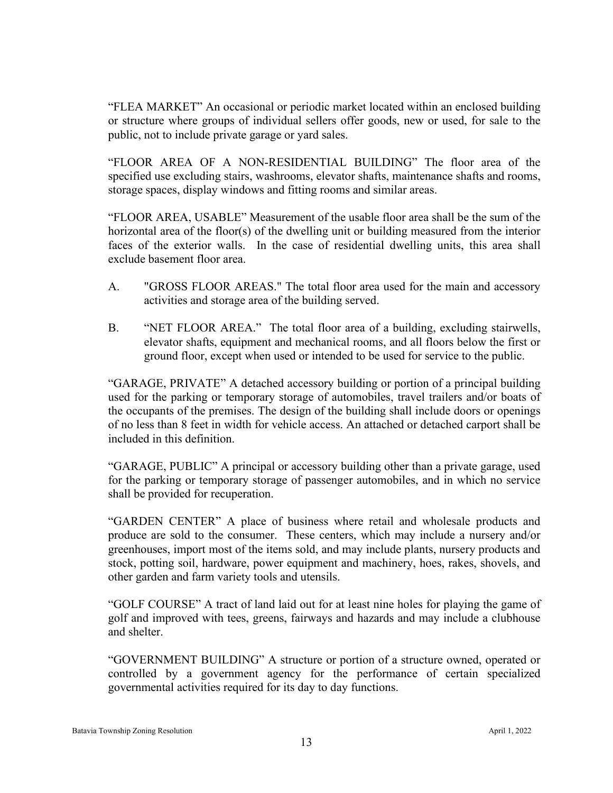"FLEA MARKET" An occasional or periodic market located within an enclosed building or structure where groups of individual sellers offer goods, new or used, for sale to the public, not to include private garage or yard sales.

"FLOOR AREA OF A NON-RESIDENTIAL BUILDING" The floor area of the specified use excluding stairs, washrooms, elevator shafts, maintenance shafts and rooms, storage spaces, display windows and fitting rooms and similar areas.

"FLOOR AREA, USABLE" Measurement of the usable floor area shall be the sum of the horizontal area of the floor(s) of the dwelling unit or building measured from the interior faces of the exterior walls. In the case of residential dwelling units, this area shall exclude basement floor area.

- A. "GROSS FLOOR AREAS." The total floor area used for the main and accessory activities and storage area of the building served.
- B. "NET FLOOR AREA." The total floor area of a building, excluding stairwells, elevator shafts, equipment and mechanical rooms, and all floors below the first or ground floor, except when used or intended to be used for service to the public.

"GARAGE, PRIVATE" A detached accessory building or portion of a principal building used for the parking or temporary storage of automobiles, travel trailers and/or boats of the occupants of the premises. The design of the building shall include doors or openings of no less than 8 feet in width for vehicle access. An attached or detached carport shall be included in this definition.

"GARAGE, PUBLIC" A principal or accessory building other than a private garage, used for the parking or temporary storage of passenger automobiles, and in which no service shall be provided for recuperation.

"GARDEN CENTER" A place of business where retail and wholesale products and produce are sold to the consumer. These centers, which may include a nursery and/or greenhouses, import most of the items sold, and may include plants, nursery products and stock, potting soil, hardware, power equipment and machinery, hoes, rakes, shovels, and other garden and farm variety tools and utensils.

"GOLF COURSE" A tract of land laid out for at least nine holes for playing the game of golf and improved with tees, greens, fairways and hazards and may include a clubhouse and shelter.

"GOVERNMENT BUILDING" A structure or portion of a structure owned, operated or controlled by a government agency for the performance of certain specialized governmental activities required for its day to day functions.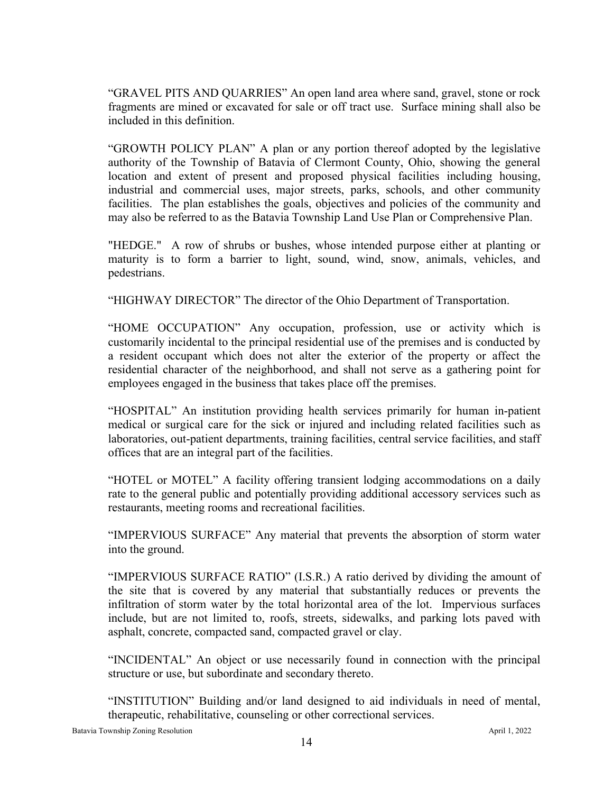"GRAVEL PITS AND QUARRIES" An open land area where sand, gravel, stone or rock fragments are mined or excavated for sale or off tract use. Surface mining shall also be included in this definition.

"GROWTH POLICY PLAN" A plan or any portion thereof adopted by the legislative authority of the Township of Batavia of Clermont County, Ohio, showing the general location and extent of present and proposed physical facilities including housing, industrial and commercial uses, major streets, parks, schools, and other community facilities. The plan establishes the goals, objectives and policies of the community and may also be referred to as the Batavia Township Land Use Plan or Comprehensive Plan.

"HEDGE." A row of shrubs or bushes, whose intended purpose either at planting or maturity is to form a barrier to light, sound, wind, snow, animals, vehicles, and pedestrians.

"HIGHWAY DIRECTOR" The director of the Ohio Department of Transportation.

"HOME OCCUPATION" Any occupation, profession, use or activity which is customarily incidental to the principal residential use of the premises and is conducted by a resident occupant which does not alter the exterior of the property or affect the residential character of the neighborhood, and shall not serve as a gathering point for employees engaged in the business that takes place off the premises.

"HOSPITAL" An institution providing health services primarily for human in-patient medical or surgical care for the sick or injured and including related facilities such as laboratories, out-patient departments, training facilities, central service facilities, and staff offices that are an integral part of the facilities.

"HOTEL or MOTEL" A facility offering transient lodging accommodations on a daily rate to the general public and potentially providing additional accessory services such as restaurants, meeting rooms and recreational facilities.

"IMPERVIOUS SURFACE" Any material that prevents the absorption of storm water into the ground.

"IMPERVIOUS SURFACE RATIO" (I.S.R.) A ratio derived by dividing the amount of the site that is covered by any material that substantially reduces or prevents the infiltration of storm water by the total horizontal area of the lot. Impervious surfaces include, but are not limited to, roofs, streets, sidewalks, and parking lots paved with asphalt, concrete, compacted sand, compacted gravel or clay.

"INCIDENTAL" An object or use necessarily found in connection with the principal structure or use, but subordinate and secondary thereto.

"INSTITUTION" Building and/or land designed to aid individuals in need of mental, therapeutic, rehabilitative, counseling or other correctional services.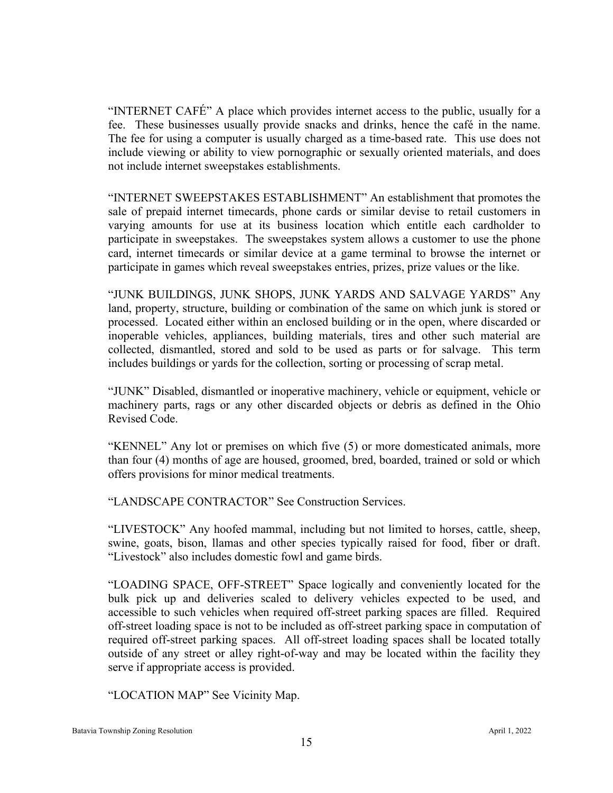"INTERNET CAFÉ" A place which provides internet access to the public, usually for a fee. These businesses usually provide snacks and drinks, hence the café in the name. The fee for using a computer is usually charged as a time-based rate. This use does not include viewing or ability to view pornographic or sexually oriented materials, and does not include internet sweepstakes establishments.

"INTERNET SWEEPSTAKES ESTABLISHMENT" An establishment that promotes the sale of prepaid internet timecards, phone cards or similar devise to retail customers in varying amounts for use at its business location which entitle each cardholder to participate in sweepstakes. The sweepstakes system allows a customer to use the phone card, internet timecards or similar device at a game terminal to browse the internet or participate in games which reveal sweepstakes entries, prizes, prize values or the like.

"JUNK BUILDINGS, JUNK SHOPS, JUNK YARDS AND SALVAGE YARDS" Any land, property, structure, building or combination of the same on which junk is stored or processed. Located either within an enclosed building or in the open, where discarded or inoperable vehicles, appliances, building materials, tires and other such material are collected, dismantled, stored and sold to be used as parts or for salvage. This term includes buildings or yards for the collection, sorting or processing of scrap metal.

"JUNK" Disabled, dismantled or inoperative machinery, vehicle or equipment, vehicle or machinery parts, rags or any other discarded objects or debris as defined in the Ohio Revised Code.

"KENNEL" Any lot or premises on which five (5) or more domesticated animals, more than four (4) months of age are housed, groomed, bred, boarded, trained or sold or which offers provisions for minor medical treatments.

"LANDSCAPE CONTRACTOR" See Construction Services.

"LIVESTOCK" Any hoofed mammal, including but not limited to horses, cattle, sheep, swine, goats, bison, llamas and other species typically raised for food, fiber or draft. "Livestock" also includes domestic fowl and game birds.

"LOADING SPACE, OFF-STREET" Space logically and conveniently located for the bulk pick up and deliveries scaled to delivery vehicles expected to be used, and accessible to such vehicles when required off-street parking spaces are filled. Required off-street loading space is not to be included as off-street parking space in computation of required off-street parking spaces. All off-street loading spaces shall be located totally outside of any street or alley right-of-way and may be located within the facility they serve if appropriate access is provided.

"LOCATION MAP" See Vicinity Map.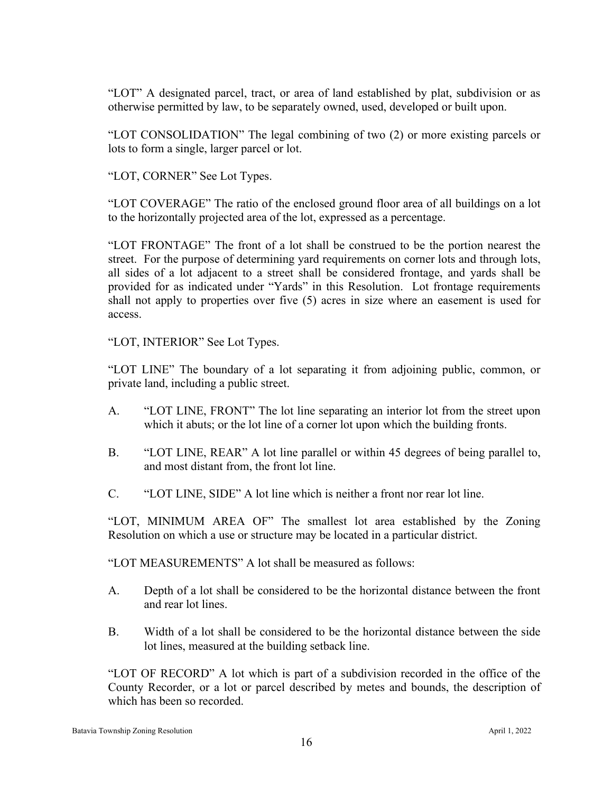"LOT" A designated parcel, tract, or area of land established by plat, subdivision or as otherwise permitted by law, to be separately owned, used, developed or built upon.

"LOT CONSOLIDATION" The legal combining of two (2) or more existing parcels or lots to form a single, larger parcel or lot.

"LOT, CORNER" See Lot Types.

"LOT COVERAGE" The ratio of the enclosed ground floor area of all buildings on a lot to the horizontally projected area of the lot, expressed as a percentage.

"LOT FRONTAGE" The front of a lot shall be construed to be the portion nearest the street. For the purpose of determining yard requirements on corner lots and through lots, all sides of a lot adjacent to a street shall be considered frontage, and yards shall be provided for as indicated under "Yards" in this Resolution. Lot frontage requirements shall not apply to properties over five (5) acres in size where an easement is used for access.

"LOT, INTERIOR" See Lot Types.

"LOT LINE" The boundary of a lot separating it from adjoining public, common, or private land, including a public street.

- A. "LOT LINE, FRONT" The lot line separating an interior lot from the street upon which it abuts; or the lot line of a corner lot upon which the building fronts.
- B. "LOT LINE, REAR" A lot line parallel or within 45 degrees of being parallel to, and most distant from, the front lot line.
- C. "LOT LINE, SIDE" A lot line which is neither a front nor rear lot line.

"LOT, MINIMUM AREA OF" The smallest lot area established by the Zoning Resolution on which a use or structure may be located in a particular district.

"LOT MEASUREMENTS" A lot shall be measured as follows:

- A. Depth of a lot shall be considered to be the horizontal distance between the front and rear lot lines.
- B. Width of a lot shall be considered to be the horizontal distance between the side lot lines, measured at the building setback line.

"LOT OF RECORD" A lot which is part of a subdivision recorded in the office of the County Recorder, or a lot or parcel described by metes and bounds, the description of which has been so recorded.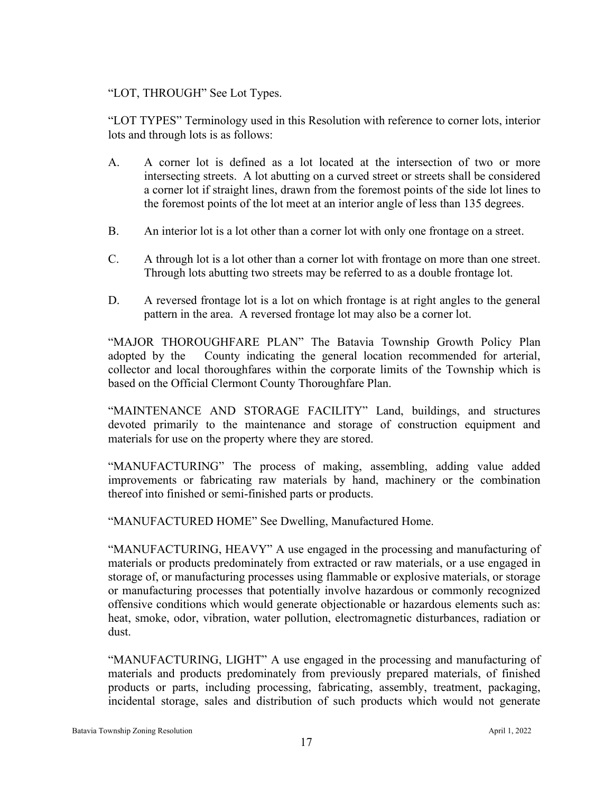## "LOT, THROUGH" See Lot Types.

"LOT TYPES" Terminology used in this Resolution with reference to corner lots, interior lots and through lots is as follows:

- A. A corner lot is defined as a lot located at the intersection of two or more intersecting streets. A lot abutting on a curved street or streets shall be considered a corner lot if straight lines, drawn from the foremost points of the side lot lines to the foremost points of the lot meet at an interior angle of less than 135 degrees.
- B. An interior lot is a lot other than a corner lot with only one frontage on a street.
- C. A through lot is a lot other than a corner lot with frontage on more than one street. Through lots abutting two streets may be referred to as a double frontage lot.
- D. A reversed frontage lot is a lot on which frontage is at right angles to the general pattern in the area. A reversed frontage lot may also be a corner lot.

"MAJOR THOROUGHFARE PLAN" The Batavia Township Growth Policy Plan adopted by the County indicating the general location recommended for arterial, collector and local thoroughfares within the corporate limits of the Township which is based on the Official Clermont County Thoroughfare Plan.

"MAINTENANCE AND STORAGE FACILITY" Land, buildings, and structures devoted primarily to the maintenance and storage of construction equipment and materials for use on the property where they are stored.

"MANUFACTURING" The process of making, assembling, adding value added improvements or fabricating raw materials by hand, machinery or the combination thereof into finished or semi-finished parts or products.

"MANUFACTURED HOME" See Dwelling, Manufactured Home.

"MANUFACTURING, HEAVY" A use engaged in the processing and manufacturing of materials or products predominately from extracted or raw materials, or a use engaged in storage of, or manufacturing processes using flammable or explosive materials, or storage or manufacturing processes that potentially involve hazardous or commonly recognized offensive conditions which would generate objectionable or hazardous elements such as: heat, smoke, odor, vibration, water pollution, electromagnetic disturbances, radiation or dust.

"MANUFACTURING, LIGHT" A use engaged in the processing and manufacturing of materials and products predominately from previously prepared materials, of finished products or parts, including processing, fabricating, assembly, treatment, packaging, incidental storage, sales and distribution of such products which would not generate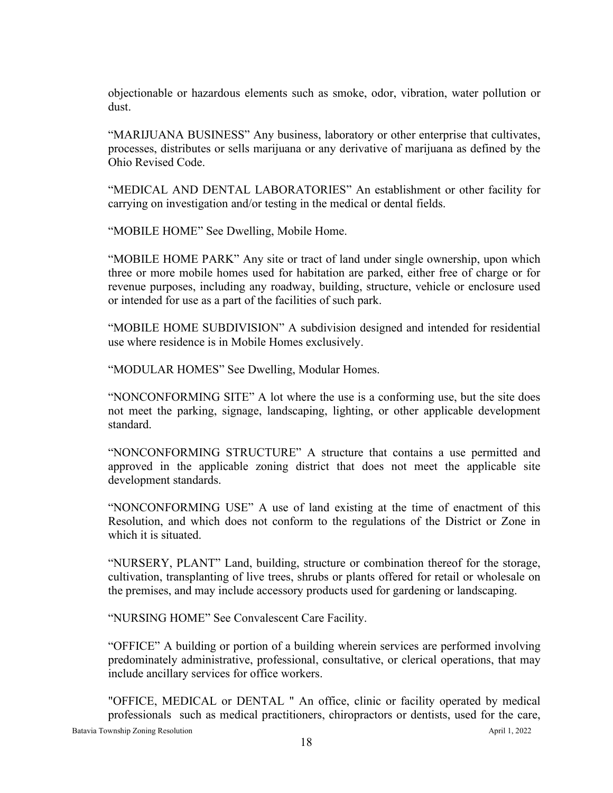objectionable or hazardous elements such as smoke, odor, vibration, water pollution or dust.

"MARIJUANA BUSINESS" Any business, laboratory or other enterprise that cultivates, processes, distributes or sells marijuana or any derivative of marijuana as defined by the Ohio Revised Code.

"MEDICAL AND DENTAL LABORATORIES" An establishment or other facility for carrying on investigation and/or testing in the medical or dental fields.

"MOBILE HOME" See Dwelling, Mobile Home.

"MOBILE HOME PARK" Any site or tract of land under single ownership, upon which three or more mobile homes used for habitation are parked, either free of charge or for revenue purposes, including any roadway, building, structure, vehicle or enclosure used or intended for use as a part of the facilities of such park.

"MOBILE HOME SUBDIVISION" A subdivision designed and intended for residential use where residence is in Mobile Homes exclusively.

"MODULAR HOMES" See Dwelling, Modular Homes.

"NONCONFORMING SITE" A lot where the use is a conforming use, but the site does not meet the parking, signage, landscaping, lighting, or other applicable development standard.

"NONCONFORMING STRUCTURE" A structure that contains a use permitted and approved in the applicable zoning district that does not meet the applicable site development standards.

"NONCONFORMING USE" A use of land existing at the time of enactment of this Resolution, and which does not conform to the regulations of the District or Zone in which it is situated.

"NURSERY, PLANT" Land, building, structure or combination thereof for the storage, cultivation, transplanting of live trees, shrubs or plants offered for retail or wholesale on the premises, and may include accessory products used for gardening or landscaping.

"NURSING HOME" See Convalescent Care Facility.

"OFFICE" A building or portion of a building wherein services are performed involving predominately administrative, professional, consultative, or clerical operations, that may include ancillary services for office workers.

Batavia Township Zoning Resolution April 1, 2022 "OFFICE, MEDICAL or DENTAL " An office, clinic or facility operated by medical professionals such as medical practitioners, chiropractors or dentists, used for the care,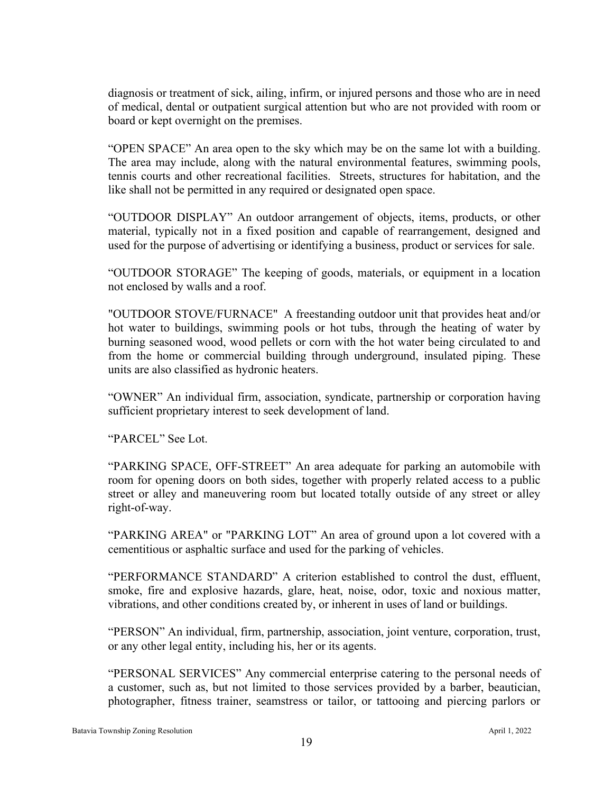diagnosis or treatment of sick, ailing, infirm, or injured persons and those who are in need of medical, dental or outpatient surgical attention but who are not provided with room or board or kept overnight on the premises.

"OPEN SPACE" An area open to the sky which may be on the same lot with a building. The area may include, along with the natural environmental features, swimming pools, tennis courts and other recreational facilities. Streets, structures for habitation, and the like shall not be permitted in any required or designated open space.

"OUTDOOR DISPLAY" An outdoor arrangement of objects, items, products, or other material, typically not in a fixed position and capable of rearrangement, designed and used for the purpose of advertising or identifying a business, product or services for sale.

"OUTDOOR STORAGE" The keeping of goods, materials, or equipment in a location not enclosed by walls and a roof.

"OUTDOOR STOVE/FURNACE" A freestanding outdoor unit that provides heat and/or hot water to buildings, swimming pools or hot tubs, through the heating of water by burning seasoned wood, wood pellets or corn with the hot water being circulated to and from the home or commercial building through underground, insulated piping. These units are also classified as hydronic heaters.

"OWNER" An individual firm, association, syndicate, partnership or corporation having sufficient proprietary interest to seek development of land.

"PARCEL" See Lot.

"PARKING SPACE, OFF-STREET" An area adequate for parking an automobile with room for opening doors on both sides, together with properly related access to a public street or alley and maneuvering room but located totally outside of any street or alley right-of-way.

"PARKING AREA" or "PARKING LOT" An area of ground upon a lot covered with a cementitious or asphaltic surface and used for the parking of vehicles.

"PERFORMANCE STANDARD" A criterion established to control the dust, effluent, smoke, fire and explosive hazards, glare, heat, noise, odor, toxic and noxious matter, vibrations, and other conditions created by, or inherent in uses of land or buildings.

"PERSON" An individual, firm, partnership, association, joint venture, corporation, trust, or any other legal entity, including his, her or its agents.

"PERSONAL SERVICES" Any commercial enterprise catering to the personal needs of a customer, such as, but not limited to those services provided by a barber, beautician, photographer, fitness trainer, seamstress or tailor, or tattooing and piercing parlors or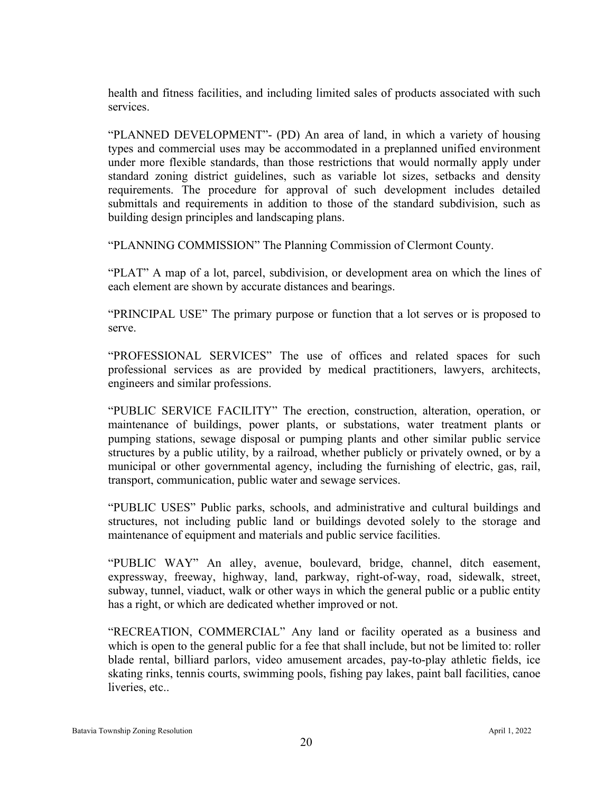health and fitness facilities, and including limited sales of products associated with such services.

"PLANNED DEVELOPMENT"- (PD) An area of land, in which a variety of housing types and commercial uses may be accommodated in a preplanned unified environment under more flexible standards, than those restrictions that would normally apply under standard zoning district guidelines, such as variable lot sizes, setbacks and density requirements. The procedure for approval of such development includes detailed submittals and requirements in addition to those of the standard subdivision, such as building design principles and landscaping plans.

"PLANNING COMMISSION" The Planning Commission of Clermont County.

"PLAT" A map of a lot, parcel, subdivision, or development area on which the lines of each element are shown by accurate distances and bearings.

"PRINCIPAL USE" The primary purpose or function that a lot serves or is proposed to serve.

"PROFESSIONAL SERVICES" The use of offices and related spaces for such professional services as are provided by medical practitioners, lawyers, architects, engineers and similar professions.

"PUBLIC SERVICE FACILITY" The erection, construction, alteration, operation, or maintenance of buildings, power plants, or substations, water treatment plants or pumping stations, sewage disposal or pumping plants and other similar public service structures by a public utility, by a railroad, whether publicly or privately owned, or by a municipal or other governmental agency, including the furnishing of electric, gas, rail, transport, communication, public water and sewage services.

"PUBLIC USES" Public parks, schools, and administrative and cultural buildings and structures, not including public land or buildings devoted solely to the storage and maintenance of equipment and materials and public service facilities.

"PUBLIC WAY" An alley, avenue, boulevard, bridge, channel, ditch easement, expressway, freeway, highway, land, parkway, right-of-way, road, sidewalk, street, subway, tunnel, viaduct, walk or other ways in which the general public or a public entity has a right, or which are dedicated whether improved or not.

"RECREATION, COMMERCIAL" Any land or facility operated as a business and which is open to the general public for a fee that shall include, but not be limited to: roller blade rental, billiard parlors, video amusement arcades, pay-to-play athletic fields, ice skating rinks, tennis courts, swimming pools, fishing pay lakes, paint ball facilities, canoe liveries, etc..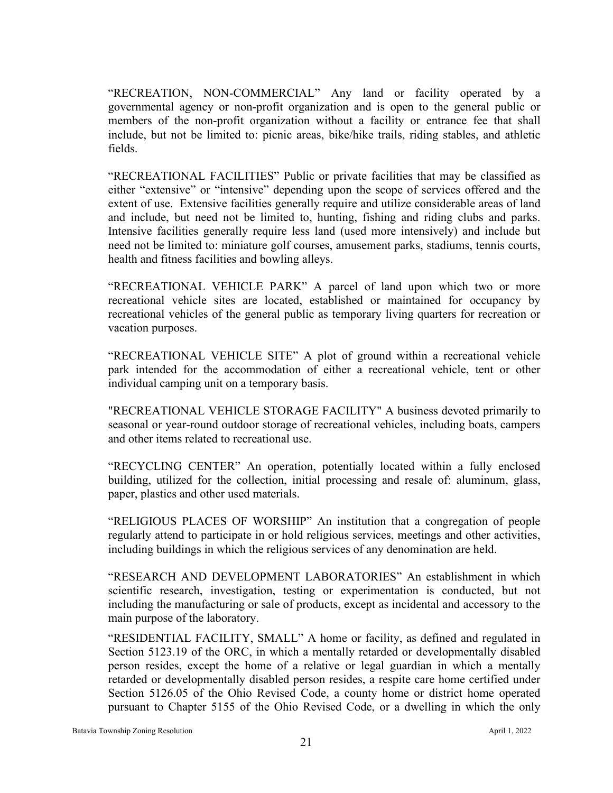"RECREATION, NON-COMMERCIAL" Any land or facility operated by a governmental agency or non-profit organization and is open to the general public or members of the non-profit organization without a facility or entrance fee that shall include, but not be limited to: picnic areas, bike/hike trails, riding stables, and athletic fields.

"RECREATIONAL FACILITIES" Public or private facilities that may be classified as either "extensive" or "intensive" depending upon the scope of services offered and the extent of use. Extensive facilities generally require and utilize considerable areas of land and include, but need not be limited to, hunting, fishing and riding clubs and parks. Intensive facilities generally require less land (used more intensively) and include but need not be limited to: miniature golf courses, amusement parks, stadiums, tennis courts, health and fitness facilities and bowling alleys.

"RECREATIONAL VEHICLE PARK" A parcel of land upon which two or more recreational vehicle sites are located, established or maintained for occupancy by recreational vehicles of the general public as temporary living quarters for recreation or vacation purposes.

"RECREATIONAL VEHICLE SITE" A plot of ground within a recreational vehicle park intended for the accommodation of either a recreational vehicle, tent or other individual camping unit on a temporary basis.

"RECREATIONAL VEHICLE STORAGE FACILITY" A business devoted primarily to seasonal or year-round outdoor storage of recreational vehicles, including boats, campers and other items related to recreational use.

"RECYCLING CENTER" An operation, potentially located within a fully enclosed building, utilized for the collection, initial processing and resale of: aluminum, glass, paper, plastics and other used materials.

"RELIGIOUS PLACES OF WORSHIP" An institution that a congregation of people regularly attend to participate in or hold religious services, meetings and other activities, including buildings in which the religious services of any denomination are held.

"RESEARCH AND DEVELOPMENT LABORATORIES" An establishment in which scientific research, investigation, testing or experimentation is conducted, but not including the manufacturing or sale of products, except as incidental and accessory to the main purpose of the laboratory.

"RESIDENTIAL FACILITY, SMALL" A home or facility, as defined and regulated in Section 5123.19 of the ORC, in which a mentally retarded or developmentally disabled person resides, except the home of a relative or legal guardian in which a mentally retarded or developmentally disabled person resides, a respite care home certified under Section 5126.05 of the Ohio Revised Code, a county home or district home operated pursuant to Chapter 5155 of the Ohio Revised Code, or a dwelling in which the only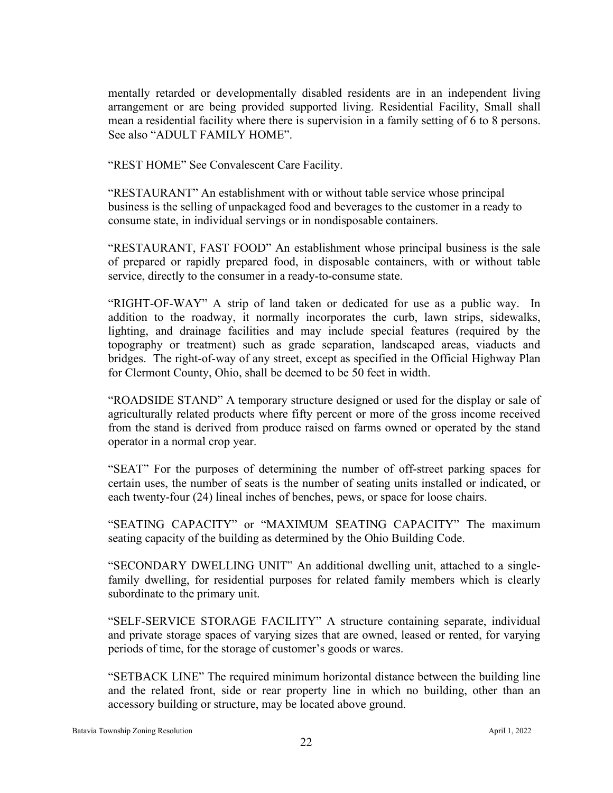mentally retarded or developmentally disabled residents are in an independent living arrangement or are being provided supported living. Residential Facility, Small shall mean a residential facility where there is supervision in a family setting of 6 to 8 persons. See also "ADULT FAMILY HOME".

"REST HOME" See Convalescent Care Facility.

"RESTAURANT" An establishment with or without table service whose principal business is the selling of unpackaged food and beverages to the customer in a ready to consume state, in individual servings or in nondisposable containers.

"RESTAURANT, FAST FOOD" An establishment whose principal business is the sale of prepared or rapidly prepared food, in disposable containers, with or without table service, directly to the consumer in a ready-to-consume state.

"RIGHT-OF-WAY" A strip of land taken or dedicated for use as a public way. In addition to the roadway, it normally incorporates the curb, lawn strips, sidewalks, lighting, and drainage facilities and may include special features (required by the topography or treatment) such as grade separation, landscaped areas, viaducts and bridges. The right-of-way of any street, except as specified in the Official Highway Plan for Clermont County, Ohio, shall be deemed to be 50 feet in width.

"ROADSIDE STAND" A temporary structure designed or used for the display or sale of agriculturally related products where fifty percent or more of the gross income received from the stand is derived from produce raised on farms owned or operated by the stand operator in a normal crop year.

"SEAT" For the purposes of determining the number of off-street parking spaces for certain uses, the number of seats is the number of seating units installed or indicated, or each twenty-four (24) lineal inches of benches, pews, or space for loose chairs.

"SEATING CAPACITY" or "MAXIMUM SEATING CAPACITY" The maximum seating capacity of the building as determined by the Ohio Building Code.

"SECONDARY DWELLING UNIT" An additional dwelling unit, attached to a singlefamily dwelling, for residential purposes for related family members which is clearly subordinate to the primary unit.

"SELF-SERVICE STORAGE FACILITY" A structure containing separate, individual and private storage spaces of varying sizes that are owned, leased or rented, for varying periods of time, for the storage of customer's goods or wares.

"SETBACK LINE" The required minimum horizontal distance between the building line and the related front, side or rear property line in which no building, other than an accessory building or structure, may be located above ground.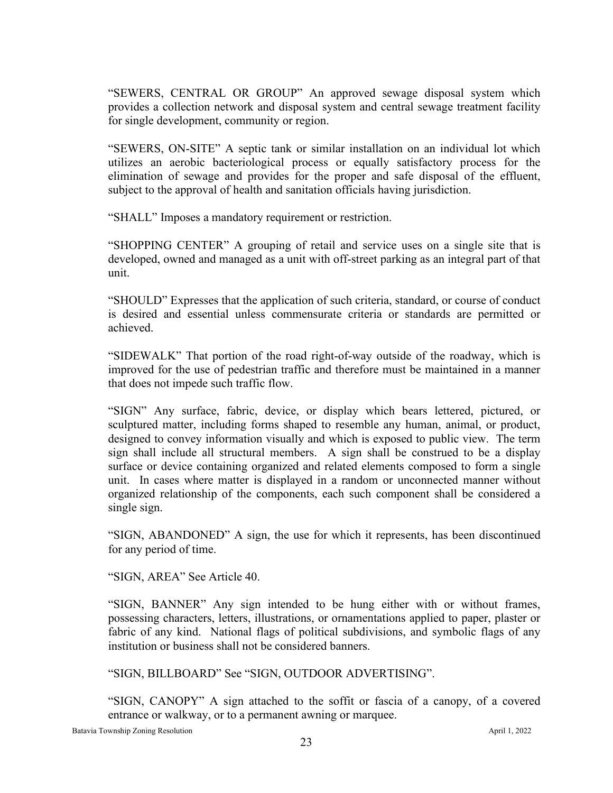"SEWERS, CENTRAL OR GROUP" An approved sewage disposal system which provides a collection network and disposal system and central sewage treatment facility for single development, community or region.

"SEWERS, ON-SITE" A septic tank or similar installation on an individual lot which utilizes an aerobic bacteriological process or equally satisfactory process for the elimination of sewage and provides for the proper and safe disposal of the effluent, subject to the approval of health and sanitation officials having jurisdiction.

"SHALL" Imposes a mandatory requirement or restriction.

"SHOPPING CENTER" A grouping of retail and service uses on a single site that is developed, owned and managed as a unit with off-street parking as an integral part of that unit.

"SHOULD" Expresses that the application of such criteria, standard, or course of conduct is desired and essential unless commensurate criteria or standards are permitted or achieved.

"SIDEWALK" That portion of the road right-of-way outside of the roadway, which is improved for the use of pedestrian traffic and therefore must be maintained in a manner that does not impede such traffic flow.

"SIGN" Any surface, fabric, device, or display which bears lettered, pictured, or sculptured matter, including forms shaped to resemble any human, animal, or product, designed to convey information visually and which is exposed to public view. The term sign shall include all structural members. A sign shall be construed to be a display surface or device containing organized and related elements composed to form a single unit. In cases where matter is displayed in a random or unconnected manner without organized relationship of the components, each such component shall be considered a single sign.

"SIGN, ABANDONED" A sign, the use for which it represents, has been discontinued for any period of time.

"SIGN, AREA" See Article 40.

"SIGN, BANNER" Any sign intended to be hung either with or without frames, possessing characters, letters, illustrations, or ornamentations applied to paper, plaster or fabric of any kind. National flags of political subdivisions, and symbolic flags of any institution or business shall not be considered banners.

"SIGN, BILLBOARD" See "SIGN, OUTDOOR ADVERTISING".

"SIGN, CANOPY" A sign attached to the soffit or fascia of a canopy, of a covered entrance or walkway, or to a permanent awning or marquee.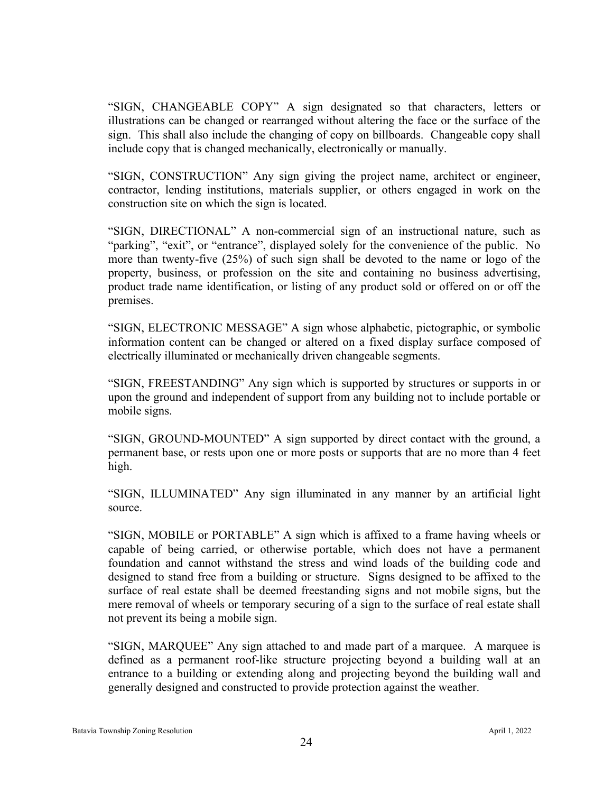"SIGN, CHANGEABLE COPY" A sign designated so that characters, letters or illustrations can be changed or rearranged without altering the face or the surface of the sign. This shall also include the changing of copy on billboards. Changeable copy shall include copy that is changed mechanically, electronically or manually.

"SIGN, CONSTRUCTION" Any sign giving the project name, architect or engineer, contractor, lending institutions, materials supplier, or others engaged in work on the construction site on which the sign is located.

"SIGN, DIRECTIONAL" A non-commercial sign of an instructional nature, such as "parking", "exit", or "entrance", displayed solely for the convenience of the public. No more than twenty-five (25%) of such sign shall be devoted to the name or logo of the property, business, or profession on the site and containing no business advertising, product trade name identification, or listing of any product sold or offered on or off the premises.

"SIGN, ELECTRONIC MESSAGE" A sign whose alphabetic, pictographic, or symbolic information content can be changed or altered on a fixed display surface composed of electrically illuminated or mechanically driven changeable segments.

"SIGN, FREESTANDING" Any sign which is supported by structures or supports in or upon the ground and independent of support from any building not to include portable or mobile signs.

"SIGN, GROUND-MOUNTED" A sign supported by direct contact with the ground, a permanent base, or rests upon one or more posts or supports that are no more than 4 feet high.

"SIGN, ILLUMINATED" Any sign illuminated in any manner by an artificial light source.

"SIGN, MOBILE or PORTABLE" A sign which is affixed to a frame having wheels or capable of being carried, or otherwise portable, which does not have a permanent foundation and cannot withstand the stress and wind loads of the building code and designed to stand free from a building or structure. Signs designed to be affixed to the surface of real estate shall be deemed freestanding signs and not mobile signs, but the mere removal of wheels or temporary securing of a sign to the surface of real estate shall not prevent its being a mobile sign.

"SIGN, MARQUEE" Any sign attached to and made part of a marquee. A marquee is defined as a permanent roof-like structure projecting beyond a building wall at an entrance to a building or extending along and projecting beyond the building wall and generally designed and constructed to provide protection against the weather.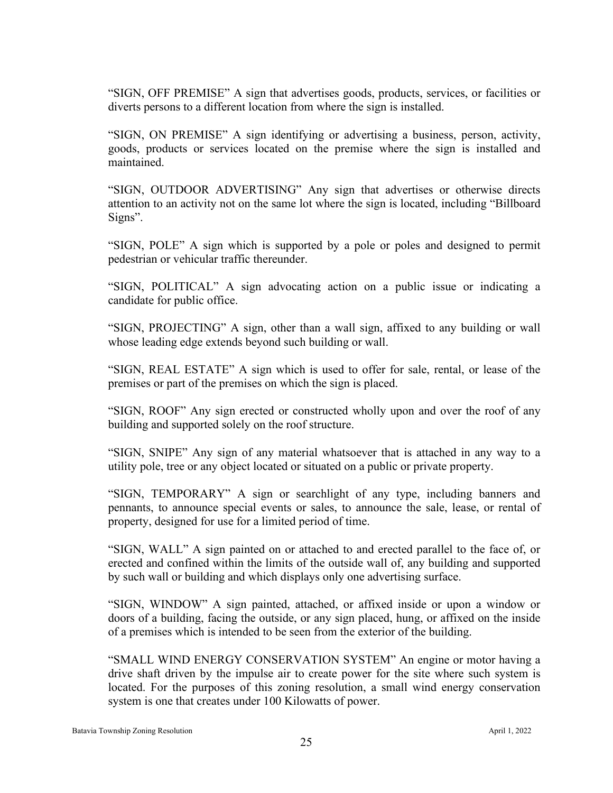"SIGN, OFF PREMISE" A sign that advertises goods, products, services, or facilities or diverts persons to a different location from where the sign is installed.

"SIGN, ON PREMISE" A sign identifying or advertising a business, person, activity, goods, products or services located on the premise where the sign is installed and maintained.

"SIGN, OUTDOOR ADVERTISING" Any sign that advertises or otherwise directs attention to an activity not on the same lot where the sign is located, including "Billboard Signs".

"SIGN, POLE" A sign which is supported by a pole or poles and designed to permit pedestrian or vehicular traffic thereunder.

"SIGN, POLITICAL" A sign advocating action on a public issue or indicating a candidate for public office.

"SIGN, PROJECTING" A sign, other than a wall sign, affixed to any building or wall whose leading edge extends beyond such building or wall.

"SIGN, REAL ESTATE" A sign which is used to offer for sale, rental, or lease of the premises or part of the premises on which the sign is placed.

"SIGN, ROOF" Any sign erected or constructed wholly upon and over the roof of any building and supported solely on the roof structure.

"SIGN, SNIPE" Any sign of any material whatsoever that is attached in any way to a utility pole, tree or any object located or situated on a public or private property.

"SIGN, TEMPORARY" A sign or searchlight of any type, including banners and pennants, to announce special events or sales, to announce the sale, lease, or rental of property, designed for use for a limited period of time.

"SIGN, WALL" A sign painted on or attached to and erected parallel to the face of, or erected and confined within the limits of the outside wall of, any building and supported by such wall or building and which displays only one advertising surface.

"SIGN, WINDOW" A sign painted, attached, or affixed inside or upon a window or doors of a building, facing the outside, or any sign placed, hung, or affixed on the inside of a premises which is intended to be seen from the exterior of the building.

"SMALL WIND ENERGY CONSERVATION SYSTEM" An engine or motor having a drive shaft driven by the impulse air to create power for the site where such system is located. For the purposes of this zoning resolution, a small wind energy conservation system is one that creates under 100 Kilowatts of power.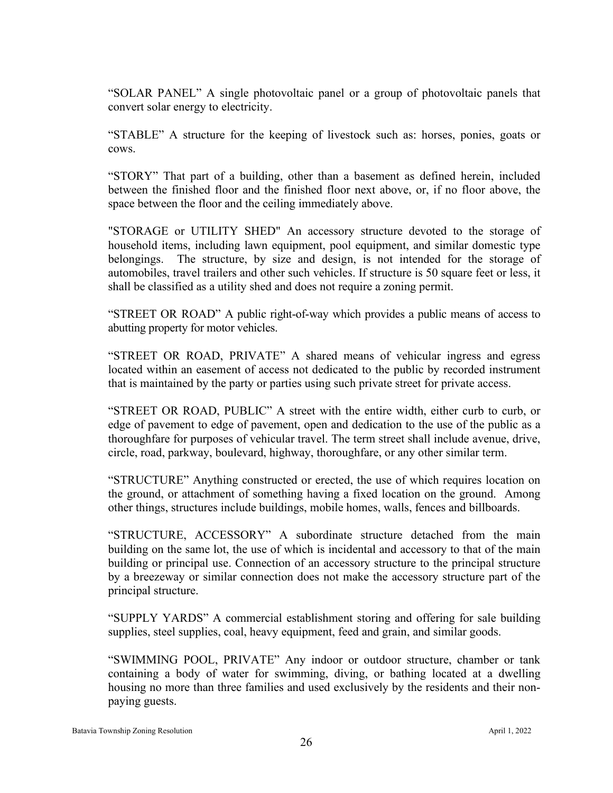"SOLAR PANEL" A single photovoltaic panel or a group of photovoltaic panels that convert solar energy to electricity.

"STABLE" A structure for the keeping of livestock such as: horses, ponies, goats or cows.

"STORY" That part of a building, other than a basement as defined herein, included between the finished floor and the finished floor next above, or, if no floor above, the space between the floor and the ceiling immediately above.

"STORAGE or UTILITY SHED" An accessory structure devoted to the storage of household items, including lawn equipment, pool equipment, and similar domestic type belongings. The structure, by size and design, is not intended for the storage of automobiles, travel trailers and other such vehicles. If structure is 50 square feet or less, it shall be classified as a utility shed and does not require a zoning permit.

"STREET OR ROAD" A public right-of-way which provides a public means of access to abutting property for motor vehicles.

"STREET OR ROAD, PRIVATE" A shared means of vehicular ingress and egress located within an easement of access not dedicated to the public by recorded instrument that is maintained by the party or parties using such private street for private access.

"STREET OR ROAD, PUBLIC" A street with the entire width, either curb to curb, or edge of pavement to edge of pavement, open and dedication to the use of the public as a thoroughfare for purposes of vehicular travel. The term street shall include avenue, drive, circle, road, parkway, boulevard, highway, thoroughfare, or any other similar term.

"STRUCTURE" Anything constructed or erected, the use of which requires location on the ground, or attachment of something having a fixed location on the ground. Among other things, structures include buildings, mobile homes, walls, fences and billboards.

"STRUCTURE, ACCESSORY" A subordinate structure detached from the main building on the same lot, the use of which is incidental and accessory to that of the main building or principal use. Connection of an accessory structure to the principal structure by a breezeway or similar connection does not make the accessory structure part of the principal structure.

"SUPPLY YARDS" A commercial establishment storing and offering for sale building supplies, steel supplies, coal, heavy equipment, feed and grain, and similar goods.

"SWIMMING POOL, PRIVATE" Any indoor or outdoor structure, chamber or tank containing a body of water for swimming, diving, or bathing located at a dwelling housing no more than three families and used exclusively by the residents and their nonpaying guests.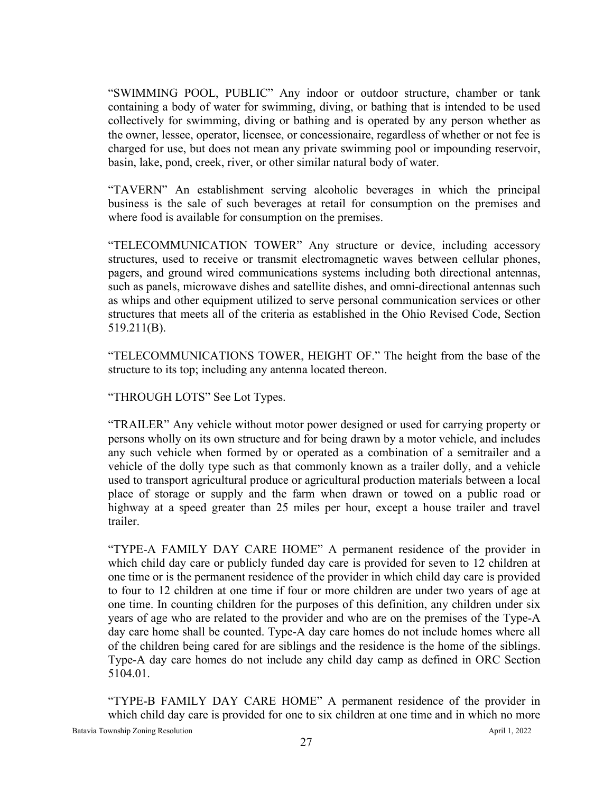"SWIMMING POOL, PUBLIC" Any indoor or outdoor structure, chamber or tank containing a body of water for swimming, diving, or bathing that is intended to be used collectively for swimming, diving or bathing and is operated by any person whether as the owner, lessee, operator, licensee, or concessionaire, regardless of whether or not fee is charged for use, but does not mean any private swimming pool or impounding reservoir, basin, lake, pond, creek, river, or other similar natural body of water.

"TAVERN" An establishment serving alcoholic beverages in which the principal business is the sale of such beverages at retail for consumption on the premises and where food is available for consumption on the premises.

"TELECOMMUNICATION TOWER" Any structure or device, including accessory structures, used to receive or transmit electromagnetic waves between cellular phones, pagers, and ground wired communications systems including both directional antennas, such as panels, microwave dishes and satellite dishes, and omni-directional antennas such as whips and other equipment utilized to serve personal communication services or other structures that meets all of the criteria as established in the Ohio Revised Code, Section 519.211(B).

"TELECOMMUNICATIONS TOWER, HEIGHT OF." The height from the base of the structure to its top; including any antenna located thereon.

"THROUGH LOTS" See Lot Types.

"TRAILER" Any vehicle without motor power designed or used for carrying property or persons wholly on its own structure and for being drawn by a motor vehicle, and includes any such vehicle when formed by or operated as a combination of a semitrailer and a vehicle of the dolly type such as that commonly known as a trailer dolly, and a vehicle used to transport agricultural produce or agricultural production materials between a local place of storage or supply and the farm when drawn or towed on a public road or highway at a speed greater than 25 miles per hour, except a house trailer and travel trailer.

"TYPE-A FAMILY DAY CARE HOME" A permanent residence of the provider in which child day care or publicly funded day care is provided for seven to 12 children at one time or is the permanent residence of the provider in which child day care is provided to four to 12 children at one time if four or more children are under two years of age at one time. In counting children for the purposes of this definition, any children under six years of age who are related to the provider and who are on the premises of the Type-A day care home shall be counted. Type-A day care homes do not include homes where all of the children being cared for are siblings and the residence is the home of the siblings. Type-A day care homes do not include any child day camp as defined in ORC Section 5104.01.

"TYPE-B FAMILY DAY CARE HOME" A permanent residence of the provider in which child day care is provided for one to six children at one time and in which no more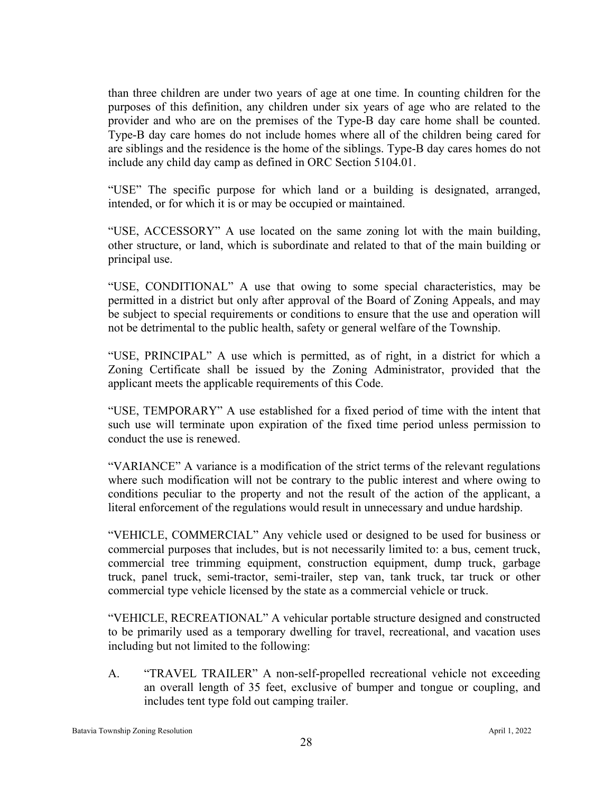than three children are under two years of age at one time. In counting children for the purposes of this definition, any children under six years of age who are related to the provider and who are on the premises of the Type-B day care home shall be counted. Type-B day care homes do not include homes where all of the children being cared for are siblings and the residence is the home of the siblings. Type-B day cares homes do not include any child day camp as defined in ORC Section 5104.01.

"USE" The specific purpose for which land or a building is designated, arranged, intended, or for which it is or may be occupied or maintained.

"USE, ACCESSORY" A use located on the same zoning lot with the main building, other structure, or land, which is subordinate and related to that of the main building or principal use.

"USE, CONDITIONAL" A use that owing to some special characteristics, may be permitted in a district but only after approval of the Board of Zoning Appeals, and may be subject to special requirements or conditions to ensure that the use and operation will not be detrimental to the public health, safety or general welfare of the Township.

"USE, PRINCIPAL" A use which is permitted, as of right, in a district for which a Zoning Certificate shall be issued by the Zoning Administrator, provided that the applicant meets the applicable requirements of this Code.

"USE, TEMPORARY" A use established for a fixed period of time with the intent that such use will terminate upon expiration of the fixed time period unless permission to conduct the use is renewed.

"VARIANCE" A variance is a modification of the strict terms of the relevant regulations where such modification will not be contrary to the public interest and where owing to conditions peculiar to the property and not the result of the action of the applicant, a literal enforcement of the regulations would result in unnecessary and undue hardship.

"VEHICLE, COMMERCIAL" Any vehicle used or designed to be used for business or commercial purposes that includes, but is not necessarily limited to: a bus, cement truck, commercial tree trimming equipment, construction equipment, dump truck, garbage truck, panel truck, semi-tractor, semi-trailer, step van, tank truck, tar truck or other commercial type vehicle licensed by the state as a commercial vehicle or truck.

"VEHICLE, RECREATIONAL" A vehicular portable structure designed and constructed to be primarily used as a temporary dwelling for travel, recreational, and vacation uses including but not limited to the following:

A. "TRAVEL TRAILER" A non-self-propelled recreational vehicle not exceeding an overall length of 35 feet, exclusive of bumper and tongue or coupling, and includes tent type fold out camping trailer.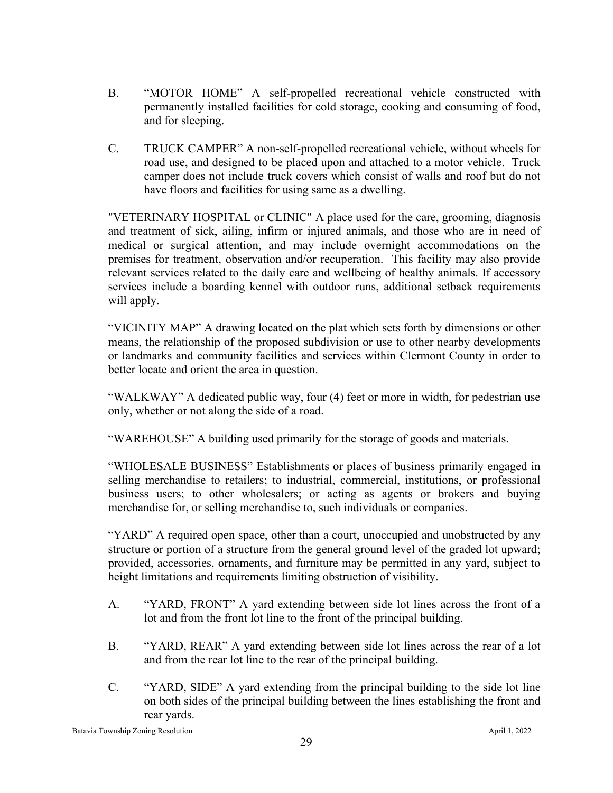- B. "MOTOR HOME" A self-propelled recreational vehicle constructed with permanently installed facilities for cold storage, cooking and consuming of food, and for sleeping.
- C. TRUCK CAMPER" A non-self-propelled recreational vehicle, without wheels for road use, and designed to be placed upon and attached to a motor vehicle. Truck camper does not include truck covers which consist of walls and roof but do not have floors and facilities for using same as a dwelling.

"VETERINARY HOSPITAL or CLINIC" A place used for the care, grooming, diagnosis and treatment of sick, ailing, infirm or injured animals, and those who are in need of medical or surgical attention, and may include overnight accommodations on the premises for treatment, observation and/or recuperation. This facility may also provide relevant services related to the daily care and wellbeing of healthy animals. If accessory services include a boarding kennel with outdoor runs, additional setback requirements will apply.

"VICINITY MAP" A drawing located on the plat which sets forth by dimensions or other means, the relationship of the proposed subdivision or use to other nearby developments or landmarks and community facilities and services within Clermont County in order to better locate and orient the area in question.

"WALKWAY" A dedicated public way, four (4) feet or more in width, for pedestrian use only, whether or not along the side of a road.

"WAREHOUSE" A building used primarily for the storage of goods and materials.

"WHOLESALE BUSINESS" Establishments or places of business primarily engaged in selling merchandise to retailers; to industrial, commercial, institutions, or professional business users; to other wholesalers; or acting as agents or brokers and buying merchandise for, or selling merchandise to, such individuals or companies.

"YARD" A required open space, other than a court, unoccupied and unobstructed by any structure or portion of a structure from the general ground level of the graded lot upward; provided, accessories, ornaments, and furniture may be permitted in any yard, subject to height limitations and requirements limiting obstruction of visibility.

- A. "YARD, FRONT" A yard extending between side lot lines across the front of a lot and from the front lot line to the front of the principal building.
- B. "YARD, REAR" A yard extending between side lot lines across the rear of a lot and from the rear lot line to the rear of the principal building.
- C. "YARD, SIDE" A yard extending from the principal building to the side lot line on both sides of the principal building between the lines establishing the front and rear yards.